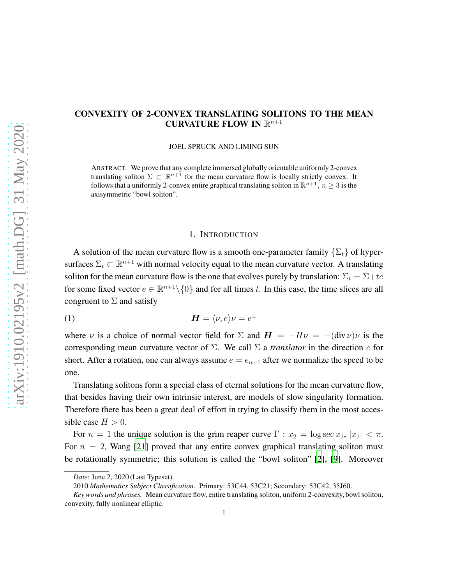# CONVEXITY OF 2-CONVEX TRANSLATING SOLITONS TO THE MEAN CURVATURE FLOW IN  $\mathbb{R}^{n+1}$

JOEL SPRUCK AND LIMING SUN

ABSTRACT. We prove that any complete immersed globally orientable uniformly 2-convex translating soliton  $\Sigma \subset \mathbb{R}^{n+1}$  for the mean curvature flow is locally strictly convex. It follows that a uniformly 2-convex entire graphical translating soliton in  $\mathbb{R}^{n+1}$ ,  $n \geq 3$  is the axisymmetric "bowl soliton".

#### 1. INTRODUCTION

A solution of the mean curvature flow is a smooth one-parameter family  $\{\Sigma_t\}$  of hypersurfaces  $\Sigma_t \subset \mathbb{R}^{n+1}$  with normal velocity equal to the mean curvature vector. A translating soliton for the mean curvature flow is the one that evolves purely by translation:  $\Sigma_t = \Sigma + te$ for some fixed vector  $e \in \mathbb{R}^{n+1} \setminus \{0\}$  and for all times t. In this case, the time slices are all congruent to  $\Sigma$  and satisfy

(1) 
$$
\boldsymbol{H} = \langle \nu, e \rangle \nu = e^{\perp}
$$

where  $\nu$  is a choice of normal vector field for  $\Sigma$  and  $H = -H\nu = -(div \nu)\nu$  is the corresponding mean curvature vector of Σ. We call Σ a *translator* in the direction e for short. After a rotation, one can always assume  $e = e_{n+1}$  after we normalize the speed to be one.

Translating solitons form a special class of eternal solutions for the mean curvature flow, that besides having their own intrinsic interest, are models of slow singularity formation. Therefore there has been a great deal of effort in trying to classify them in the most accessible case  $H > 0$ .

For  $n = 1$  the unique solution is the grim reaper curve  $\Gamma : x_2 = \log \sec x_1, |x_1| < \pi$ . For  $n = 2$ , Wang [\[21](#page-18-0)] proved that any entire convex graphical translating soliton must be rotationally symmetric; this solution is called the "bowl soliton" [\[2](#page-16-0)], [\[9\]](#page-17-0). Moreover

*Date*: June 2, 2020 (Last Typeset).

<sup>2010</sup> *Mathematics Subject Classification.* Primary: 53C44, 53C21; Secondary: 53C42, 35J60.

*Key words and phrases.* Mean curvature flow, entire translating soliton, uniform 2-convexity, bowl soliton, convexity, fully nonlinear elliptic.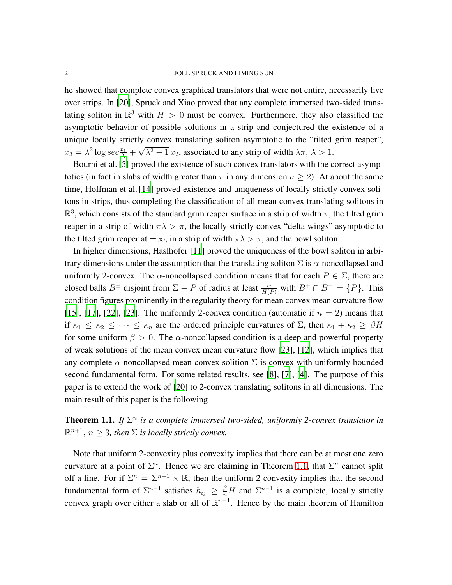### 2 JOEL SPRUCK AND LIMING SUN

he showed that complete convex graphical translators that were not entire, necessarily live over strips. In [\[20\]](#page-17-1), Spruck and Xiao proved that any complete immersed two-sided translating soliton in  $\mathbb{R}^3$  with  $H > 0$  must be convex. Furthermore, they also classified the asymptotic behavior of possible solutions in a strip and conjectured the existence of a unique locally strictly convex translating soliton asymptotic to the "tilted grim reaper",  $x_3 = \lambda^2 \log \sec \frac{x_1}{\lambda} + \sqrt{\lambda^2 - 1} x_2$ , associated to any strip of width  $\lambda \pi$ ,  $\lambda > 1$ .

Bourni et al. [\[5\]](#page-16-1) proved the existence of such convex translators with the correct asymptotics (in fact in slabs of width greater than  $\pi$  in any dimension  $n \geq 2$ ). At about the same time, Hoffman et al. [\[14](#page-17-2)] proved existence and uniqueness of locally strictly convex solitons in strips, thus completing the classification of all mean convex translating solitons in  $\mathbb{R}^3$ , which consists of the standard grim reaper surface in a strip of width  $\pi$ , the tilted grim reaper in a strip of width  $\pi \lambda > \pi$ , the locally strictly convex "delta wings" asymptotic to the tilted grim reaper at  $\pm \infty$ , in a strip of width  $\pi \lambda > \pi$ , and the bowl soliton.

In higher dimensions, Haslhofer [\[11](#page-17-3)] proved the uniqueness of the bowl soliton in arbitrary dimensions under the assumption that the translating soliton  $\Sigma$  is  $\alpha$ -noncollapsed and uniformly 2-convex. The  $\alpha$ -noncollapsed condition means that for each  $P \in \Sigma$ , there are closed balls  $B^{\pm}$  disjoint from  $\Sigma - P$  of radius at least  $\frac{\alpha}{H(P)}$  with  $B^+ \cap B^- = \{P\}$ . This condition figures prominently in the regularity theory for mean convex mean curvature flow [\[15](#page-17-4)], [\[17\]](#page-17-5), [\[22](#page-18-1)], [\[23\]](#page-18-2). The uniformly 2-convex condition (automatic if  $n = 2$ ) means that if  $\kappa_1 \leq \kappa_2 \leq \cdots \leq \kappa_n$  are the ordered principle curvatures of  $\Sigma$ , then  $\kappa_1 + \kappa_2 \geq \beta H$ for some uniform  $\beta > 0$ . The  $\alpha$ -noncollapsed condition is a deep and powerful property of weak solutions of the mean convex mean curvature flow [\[23\]](#page-18-2), [\[12](#page-17-6)], which implies that any complete  $\alpha$ -noncollapsed mean convex solition  $\Sigma$  is convex with uniformly bounded second fundamental form. For some related results, see [\[8](#page-17-7)], [\[7\]](#page-17-8), [\[4](#page-16-2)]. The purpose of this paper is to extend the work of [\[20\]](#page-17-1) to 2-convex translating solitons in all dimensions. The main result of this paper is the following

<span id="page-1-0"></span>**Theorem 1.1.** If  $\Sigma^n$  is a complete immersed two-sided, uniformly 2-convex translator in  $\mathbb{R}^{n+1}$ ,  $n \geq 3$ , then  $\Sigma$  is locally strictly convex.

Note that uniform 2-convexity plus convexity implies that there can be at most one zero curvature at a point of  $\Sigma<sup>n</sup>$ . Hence we are claiming in Theorem [1.1,](#page-1-0) that  $\Sigma<sup>n</sup>$  cannot split off a line. For if  $\Sigma^n = \Sigma^{n-1} \times \mathbb{R}$ , then the uniform 2-convexity implies that the second fundamental form of  $\Sigma^{n-1}$  satisfies  $h_{ij} \geq \frac{\beta}{n}H$  and  $\Sigma^{n-1}$  is a complete, locally strictly convex graph over either a slab or all of  $\mathbb{R}^{n-1}$ . Hence by the main theorem of Hamilton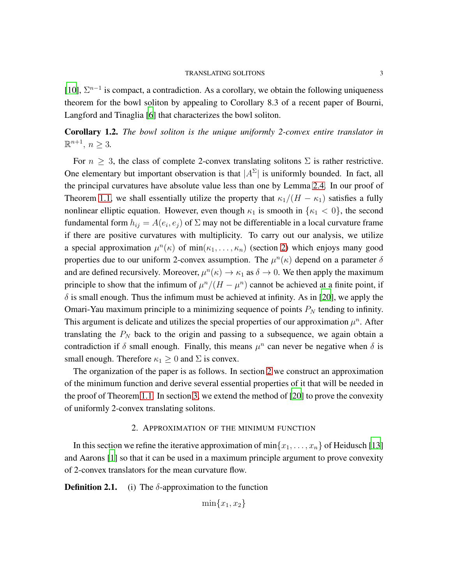## TRANSLATING SOLITONS 3

[\[10](#page-17-9)],  $\Sigma^{n-1}$  is compact, a contradiction. As a corollary, we obtain the following uniqueness theorem for the bowl soliton by appealing to Corollary 8.3 of a recent paper of Bourni, Langford and Tinaglia [\[6\]](#page-17-10) that characterizes the bowl soliton.

Corollary 1.2. *The bowl soliton is the unique uniformly 2-convex entire translator in*  $\mathbb{R}^{n+1}, n \geq 3.$ 

For  $n \geq 3$ , the class of complete 2-convex translating solitons  $\Sigma$  is rather restrictive. One elementary but important observation is that  $|A^{\Sigma}|$  is uniformly bounded. In fact, all the principal curvatures have absolute value less than one by Lemma [2.4.](#page-6-0) In our proof of Theorem [1.1,](#page-1-0) we shall essentially utilize the property that  $\kappa_1/(H - \kappa_1)$  satisfies a fully nonlinear elliptic equation. However, even though  $\kappa_1$  is smooth in  $\{\kappa_1 < 0\}$ , the second fundamental form  $h_{ij} = A(e_i, e_j)$  of  $\Sigma$  may not be differentiable in a local curvature frame if there are positive curvatures with multiplicity. To carry out our analysis, we utilize a special approximation  $\mu^{n}(\kappa)$  of  $min(\kappa_1, \ldots, \kappa_n)$  (section [2\)](#page-2-0) which enjoys many good properties due to our uniform 2-convex assumption. The  $\mu^{n}(\kappa)$  depend on a parameter  $\delta$ and are defined recursively. Moreover,  $\mu^n(\kappa) \to \kappa_1$  as  $\delta \to 0$ . We then apply the maximum principle to show that the infimum of  $\mu^n/(H - \mu^n)$  cannot be achieved at a finite point, if  $\delta$  is small enough. Thus the infimum must be achieved at infinity. As in [\[20](#page-17-1)], we apply the Omari-Yau maximum principle to a minimizing sequence of points  $P_N$  tending to infinity. This argument is delicate and utilizes the special properties of our approximation  $\mu^n$ . After translating the  $P_N$  back to the origin and passing to a subsequence, we again obtain a contradiction if  $\delta$  small enough. Finally, this means  $\mu^n$  can never be negative when  $\delta$  is small enough. Therefore  $\kappa_1 \geq 0$  and  $\Sigma$  is convex.

The organization of the paper is as follows. In section [2](#page-2-0) we construct an approximation of the minimum function and derive several essential properties of it that will be needed in the proof of Theorem [1.1.](#page-1-0) In section [3,](#page-10-0) we extend the method of [\[20](#page-17-1)] to prove the convexity of uniformly 2-convex translating solitons.

## 2. APPROXIMATION OF THE MINIMUM FUNCTION

<span id="page-2-0"></span>In this section we refine the iterative approximation of  $\min\{x_1, \ldots, x_n\}$  of Heidusch [\[13\]](#page-17-11) and Aarons [\[1](#page-16-3)] so that it can be used in a maximum principle argument to prove convexity of 2-convex translators for the mean curvature flow.

**Definition 2.1.** (i) The  $\delta$ -approximation to the function

$$
\min\{x_1, x_2\}
$$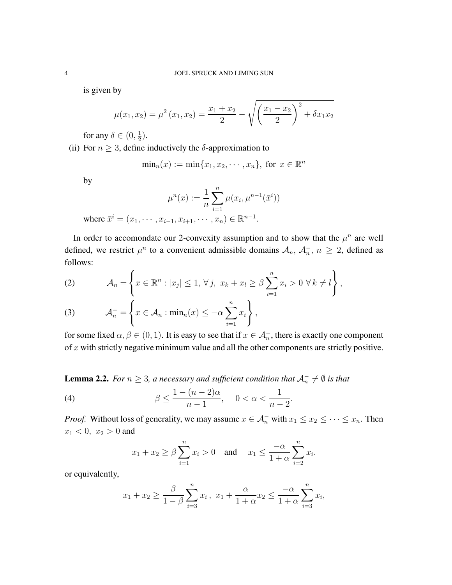is given by

$$
\mu(x_1, x_2) = \mu^2(x_1, x_2) = \frac{x_1 + x_2}{2} - \sqrt{\left(\frac{x_1 - x_2}{2}\right)^2 + \delta x_1 x_2}
$$

for any  $\delta \in (0, \frac{1}{2})$  $(\frac{1}{2})$ .

(ii) For  $n \geq 3$ , define inductively the  $\delta$ -approximation to

$$
\min_n(x) := \min\{x_1, x_2, \cdots, x_n\}, \text{ for } x \in \mathbb{R}^n
$$

by

$$
\mu^{n}(x) := \frac{1}{n} \sum_{i=1}^{n} \mu(x_i, \mu^{n-1}(\bar{x}^i))
$$
  
where  $\bar{x}^i = (x_1, \dots, x_{i-1}, x_{i+1}, \dots, x_n) \in \mathbb{R}^{n-1}$ .

In order to accomondate our 2-convexity assumption and to show that the  $\mu^n$  are well defined, we restrict  $\mu^n$  to a convenient admissible domains  $\mathcal{A}_n$ ,  $\mathcal{A}_n^-$ ,  $n \geq 2$ , defined as follows:

(2) 
$$
\mathcal{A}_n = \left\{ x \in \mathbb{R}^n : |x_j| \leq 1, \forall j, \ x_k + x_l \geq \beta \sum_{i=1}^n x_i > 0 \ \forall k \neq l \right\},
$$

(3) 
$$
\mathcal{A}_n^- = \left\{ x \in \mathcal{A}_n : \min_n(x) \leq -\alpha \sum_{i=1}^n x_i \right\},\
$$

for some fixed  $\alpha, \beta \in (0, 1)$ . It is easy to see that if  $x \in A_n^-$ , there is exactly one component of  $x$  with strictly negative minimum value and all the other components are strictly positive.

**Lemma 2.2.** For  $n \geq 3$ , a necessary and sufficient condition that  $\mathcal{A}_n^- \neq \emptyset$  is that

<span id="page-3-0"></span>(4) 
$$
\beta \le \frac{1 - (n-2)\alpha}{n-1}, \quad 0 < \alpha < \frac{1}{n-2}.
$$

*Proof.* Without loss of generality, we may assume  $x \in A_n^-$  with  $x_1 \le x_2 \le \cdots \le x_n$ . Then  $x_1 < 0, x_2 > 0$  and

$$
x_1 + x_2 \ge \beta \sum_{i=1}^n x_i > 0
$$
 and  $x_1 \le \frac{-\alpha}{1+\alpha} \sum_{i=2}^n x_i$ .

or equivalently,

$$
x_1 + x_2 \ge \frac{\beta}{1 - \beta} \sum_{i=3}^n x_i
$$
,  $x_1 + \frac{\alpha}{1 + \alpha} x_2 \le \frac{-\alpha}{1 + \alpha} \sum_{i=3}^n x_i$ ,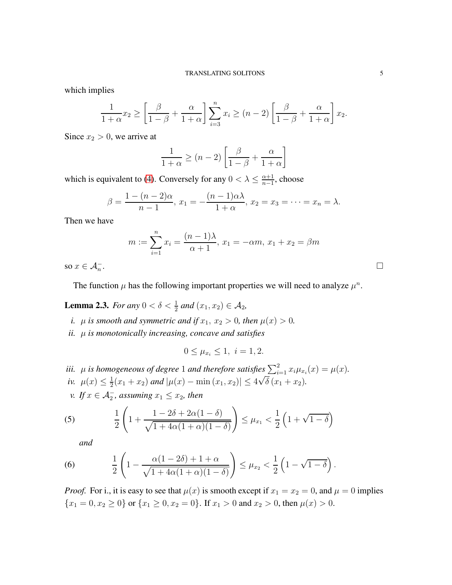which implies

$$
\frac{1}{1+\alpha}x_2 \ge \left[\frac{\beta}{1-\beta} + \frac{\alpha}{1+\alpha}\right] \sum_{i=3}^n x_i \ge (n-2) \left[\frac{\beta}{1-\beta} + \frac{\alpha}{1+\alpha}\right] x_2.
$$

Since  $x_2 > 0$ , we arrive at

$$
\frac{1}{1+\alpha} \ge (n-2) \left[ \frac{\beta}{1-\beta} + \frac{\alpha}{1+\alpha} \right]
$$

which is equivalent to [\(4\)](#page-3-0). Conversely for any  $0 < \lambda \leq \frac{\alpha+1}{n-1}$  $\frac{\alpha+1}{n-1}$ , choose

$$
\beta = \frac{1 - (n - 2)\alpha}{n - 1}, x_1 = -\frac{(n - 1)\alpha\lambda}{1 + \alpha}, x_2 = x_3 = \dots = x_n = \lambda.
$$

Then we have

$$
m := \sum_{i=1}^{n} x_i = \frac{(n-1)\lambda}{\alpha+1}, \ x_1 = -\alpha m, \ x_1 + x_2 = \beta m
$$

so  $x \in \mathcal{A}_n^-$ . The contract of the contract of the contract of the contract of the contract of the contract of the contract<br>The contract of the contract of the contract of the contract of the contract of the contract of the contract o

The function  $\mu$  has the following important properties we will need to analyze  $\mu^n$ .

<span id="page-4-2"></span>**Lemma 2.3.** *For any*  $0 < \delta < \frac{1}{2}$  *and*  $(x_1, x_2) \in A_2$ *,* 

*i.*  $\mu$  *is smooth and symmetric and if*  $x_1, x_2 > 0$ *, then*  $\mu(x) > 0$ *.* 

*ii.* µ *is monotonically increasing, concave and satisfies*

$$
0 \le \mu_{x_i} \le 1, \ i = 1, 2.
$$

*iii.*  $\mu$  *is homogeneous of degree* 1 *and therefore satisfies*  $\sum_{i=1}^{2} x_i \mu_{x_i}(x) = \mu(x)$ *. iv.*  $\mu(x) \leq \frac{1}{2}$  $\frac{1}{2}(x_1+x_2)$  and  $|\mu(x) - \min(x_1,x_2)| \leq 4\sqrt{\delta}(x_1+x_2)$ .

*v.* If  $x \in \mathcal{A}_2^-$ , assuming  $x_1 \leq x_2$ , then

<span id="page-4-0"></span>(5) 
$$
\frac{1}{2}\left(1+\frac{1-2\delta+2\alpha(1-\delta)}{\sqrt{1+4\alpha(1+\alpha)(1-\delta)}}\right)\leq \mu_{x_1} < \frac{1}{2}\left(1+\sqrt{1-\delta}\right)
$$

*and*

<span id="page-4-1"></span>(6) 
$$
\frac{1}{2}\left(1-\frac{\alpha(1-2\delta)+1+\alpha}{\sqrt{1+4\alpha(1+\alpha)(1-\delta)}}\right)\leq \mu_{x_2} < \frac{1}{2}\left(1-\sqrt{1-\delta}\right).
$$

*Proof.* For i., it is easy to see that  $\mu(x)$  is smooth except if  $x_1 = x_2 = 0$ , and  $\mu = 0$  implies  ${x_1 = 0, x_2 \ge 0}$  or  ${x_1 \ge 0, x_2 = 0}$ . If  $x_1 > 0$  and  $x_2 > 0$ , then  $\mu(x) > 0$ .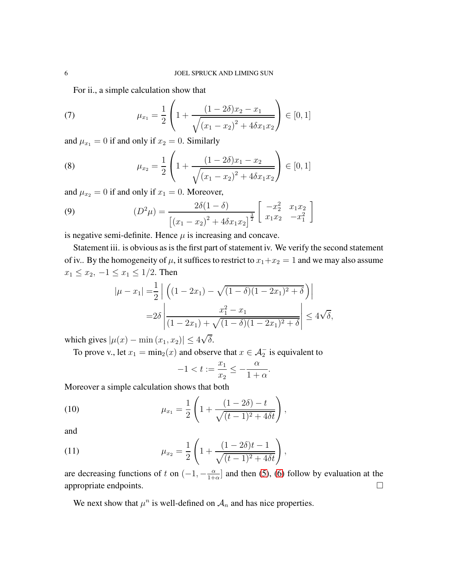For ii., a simple calculation show that

<span id="page-5-0"></span>(7) 
$$
\mu_{x_1} = \frac{1}{2} \left( 1 + \frac{(1 - 2\delta)x_2 - x_1}{\sqrt{(x_1 - x_2)^2 + 4\delta x_1 x_2}} \right) \in [0, 1]
$$

and  $\mu_{x_1} = 0$  if and only if  $x_2 = 0$ . Similarly

<span id="page-5-1"></span>(8) 
$$
\mu_{x_2} = \frac{1}{2} \left( 1 + \frac{(1 - 2\delta)x_1 - x_2}{\sqrt{(x_1 - x_2)^2 + 4\delta x_1 x_2}} \right) \in [0, 1]
$$

and  $\mu_{x_2} = 0$  if and only if  $x_1 = 0$ . Moreover,

<span id="page-5-4"></span>(9) 
$$
(D^2 \mu) = \frac{2\delta(1-\delta)}{\left[ (x_1 - x_2)^2 + 4\delta x_1 x_2 \right]^{\frac{3}{2}}} \left[ \begin{array}{cc} -x_2^2 & x_1 x_2 \\ x_1 x_2 & -x_1^2 \end{array} \right]
$$

is negative semi-definite. Hence  $\mu$  is increasing and concave.

Statement iii. is obvious as is the first part of statement iv. We verify the second statement of iv.. By the homogeneity of  $\mu$ , it suffices to restrict to  $x_1+x_2=1$  and we may also assume  $x_1 \le x_2, -1 \le x_1 \le 1/2$ . Then

$$
|\mu - x_1| = \frac{1}{2} \left| \left( (1 - 2x_1) - \sqrt{(1 - \delta)(1 - 2x_1)^2 + \delta} \right) \right|
$$
  
=  $2\delta \left| \frac{x_1^2 - x_1}{(1 - 2x_1) + \sqrt{(1 - \delta)(1 - 2x_1)^2 + \delta}} \right| \le 4\sqrt{\delta},$ 

which gives  $|\mu(x) - \min(x_1, x_2)| \le 4\sqrt{\delta}$ .

To prove v., let  $x_1 = \min_2(x)$  and observe that  $x \in \mathcal{A}_2^-$  is equivalent to

$$
-1 < t := \frac{x_1}{x_2} \le -\frac{\alpha}{1+\alpha}
$$

.

Moreover a simple calculation shows that both

<span id="page-5-2"></span>(10) 
$$
\mu_{x_1} = \frac{1}{2} \left( 1 + \frac{(1 - 2\delta) - t}{\sqrt{(t - 1)^2 + 4\delta t}} \right),
$$

and

<span id="page-5-3"></span>(11) 
$$
\mu_{x_2} = \frac{1}{2} \left( 1 + \frac{(1 - 2\delta)t - 1}{\sqrt{(t - 1)^2 + 4\delta t}} \right),
$$

are decreasing functions of t on  $(-1, -\frac{\alpha}{1+})$  $\frac{\alpha}{1+\alpha}$  and then [\(5\)](#page-4-0), [\(6\)](#page-4-1) follow by evaluation at the appropriate endpoints.  $\Box$ 

We next show that  $\mu^n$  is well-defined on  $\mathcal{A}_n$  and has nice properties.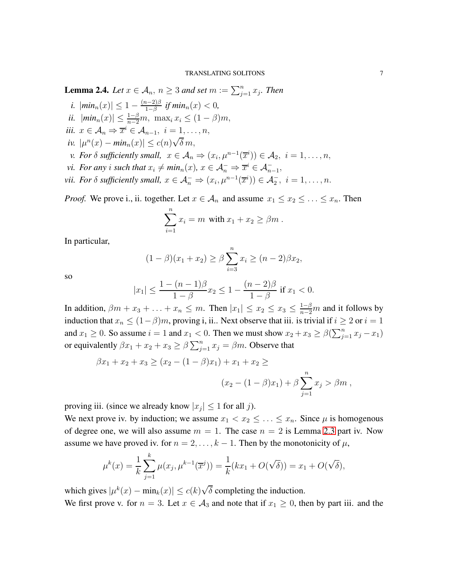<span id="page-6-0"></span>**Lemma 2.4.** *Let*  $x \in A_n$ ,  $n \geq 3$  *and set*  $m := \sum_{j=1}^n x_j$ *. Then* 

- *i.*  $|min_n(x)| \leq 1 \frac{(n-2)\beta}{1-\beta}$  $\frac{n-2}{1-\beta}$  *if min*<sub>n</sub>(x) < 0*,*
- *ii.*  $|min_n(x)| \leq \frac{1-\beta}{n-2}m$ ,  $max_i x_i \leq (1-\beta)m$ ,
- *iii.*  $x \in \mathcal{A}_n \Rightarrow \overline{x}^i \in \mathcal{A}_{n-1}, i = 1, \ldots, n$ ,
- *iv.*  $|\mu^n(x) \min_n(x)| \leq c(n)\sqrt{\delta} m$ ,
- *v.* For  $\delta$  sufficiently small,  $x \in A_n \Rightarrow (x_i, \mu^{n-1}(\overline{x}^i)) \in A_2, i = 1, \ldots, n$ ,
- *vi.* For any *i* such that  $x_i \neq min_n(x)$ ,  $x \in \mathcal{A}_n^- \Rightarrow \overline{x}^i \in \mathcal{A}_{n-1}^-$ ,
- *vii. For*  $\delta$  *sufficiently small,*  $x \in A_n^- \Rightarrow (x_i, \mu^{n-1}(\overline{x}^i)) \in A_2^-, i = 1, \ldots, n$ .

*Proof.* We prove i., ii. together. Let  $x \in A_n$  and assume  $x_1 \le x_2 \le \ldots \le x_n$ . Then

$$
\sum_{i=1}^n x_i = m \text{ with } x_1 + x_2 \ge \beta m.
$$

In particular,

$$
(1 - \beta)(x_1 + x_2) \ge \beta \sum_{i=3}^{n} x_i \ge (n - 2)\beta x_2,
$$

so

$$
|x_1| \le \frac{1 - (n - 1)\beta}{1 - \beta} x_2 \le 1 - \frac{(n - 2)\beta}{1 - \beta} \text{ if } x_1 < 0.
$$

In addition,  $\beta m + x_3 + \ldots + x_n \leq m$ . Then  $|x_1| \leq x_2 \leq x_3 \leq \frac{1-\beta}{n-2}m$  and it follows by induction that  $x_n \leq (1-\beta)m$ , proving i, ii.. Next observe that iii. is trivial if  $i \geq 2$  or  $i = 1$ and  $x_1 \geq 0$ . So assume  $i = 1$  and  $x_1 < 0$ . Then we must show  $x_2 + x_3 \geq \beta(\sum_{j=1}^n x_j - x_1)$ or equivalently  $\beta x_1 + x_2 + x_3 \ge \beta \sum_{j=1}^n x_j = \beta m$ . Observe that

$$
\beta x_1 + x_2 + x_3 \ge (x_2 - (1 - \beta)x_1) + x_1 + x_2 \ge
$$
  

$$
(x_2 - (1 - \beta)x_1) + \beta \sum_{j=1}^n x_j > \beta m,
$$

proving iii. (since we already know  $|x_j| \leq 1$  for all j).

We next prove iv. by induction; we assume  $x_1 < x_2 \leq \ldots \leq x_n$ . Since  $\mu$  is homogenous of degree one, we will also assume  $m = 1$ . The case  $n = 2$  is Lemma [2.3](#page-4-2) part iv. Now assume we have proved iv. for  $n = 2, \ldots, k - 1$ . Then by the monotonicity of  $\mu$ ,

$$
\mu^{k}(x) = \frac{1}{k} \sum_{j=1}^{k} \mu(x_{j}, \mu^{k-1}(\overline{x}^{j})) = \frac{1}{k}(kx_{1} + O(\sqrt{\delta})) = x_{1} + O(\sqrt{\delta}),
$$

which gives  $|\mu^k(x) - \min_k(x)| \le c(k)\sqrt{\delta}$  completing the induction. We first prove v. for  $n = 3$ . Let  $x \in A_3$  and note that if  $x_1 \geq 0$ , then by part iii. and the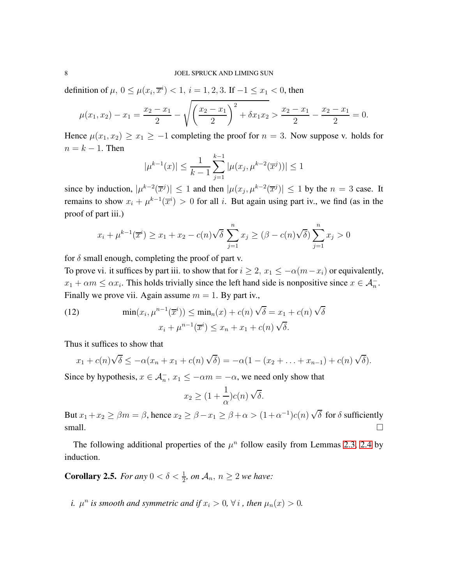definition of  $\mu$ ,  $0 \le \mu(x_i, \overline{x}^i) < 1$ ,  $i = 1, 2, 3$ . If  $-1 \le x_1 < 0$ , then

$$
\mu(x_1, x_2) - x_1 = \frac{x_2 - x_1}{2} - \sqrt{\left(\frac{x_2 - x_1}{2}\right)^2 + \delta x_1 x_2} > \frac{x_2 - x_1}{2} - \frac{x_2 - x_1}{2} = 0.
$$

Hence  $\mu(x_1, x_2) \ge x_1 \ge -1$  completing the proof for  $n = 3$ . Now suppose v. holds for  $n = k - 1$ . Then

$$
|\mu^{k-1}(x)| \le \frac{1}{k-1} \sum_{j=1}^{k-1} |\mu(x_j, \mu^{k-2}(\overline{x}^j))| \le 1
$$

since by induction,  $|\mu^{k-2}(\overline{x}^j)| \le 1$  and then  $|\mu(x_j, \mu^{k-2}(\overline{x}^j)| \le 1$  by the  $n = 3$  case. It remains to show  $x_i + \mu^{k-1}(\overline{x}^i) > 0$  for all i. But again using part iv., we find (as in the proof of part iii.)

$$
x_i + \mu^{k-1}(\overline{x}^i) \ge x_1 + x_2 - c(n)\sqrt{\delta} \sum_{j=1}^n x_j \ge (\beta - c(n)\sqrt{\delta}) \sum_{j=1}^n x_j > 0
$$

for  $\delta$  small enough, completing the proof of part v.

To prove vi. it suffices by part iii. to show that for  $i \geq 2$ ,  $x_1 \leq -\alpha(m-x_i)$  or equivalently,  $x_1 + \alpha m \leq \alpha x_i$ . This holds trivially since the left hand side is nonpositive since  $x \in A_n^-$ . Finally we prove vii. Again assume  $m = 1$ . By part iv.,

(12) 
$$
\min(x_i, \mu^{n-1}(\overline{x}^i)) \leq \min_n(x) + c(n)\sqrt{\delta} = x_1 + c(n)\sqrt{\delta}
$$

$$
x_i + \mu^{n-1}(\overline{x}^i) \leq x_n + x_1 + c(n)\sqrt{\delta}.
$$

Thus it suffices to show that

$$
x_1 + c(n)\sqrt{\delta} \leq -\alpha(x_n + x_1 + c(n)\sqrt{\delta}) = -\alpha(1 - (x_2 + \ldots + x_{n-1}) + c(n)\sqrt{\delta}).
$$

Since by hypothesis,  $x \in \mathcal{A}_n^-$ ,  $x_1 \le -\alpha m = -\alpha$ , we need only show that

$$
x_2 \ge (1 + \frac{1}{\alpha})c(n)\sqrt{\delta}.
$$

But  $x_1 + x_2 \ge \beta m = \beta$ , hence  $x_2 \ge \beta - x_1 \ge \beta + \alpha > (1 + \alpha^{-1})c(n)\sqrt{\delta}$  for  $\delta$  sufficiently small.  $\Box$ 

The following additional properties of the  $\mu^n$  follow easily from Lemmas [2.3,](#page-4-2) [2.4](#page-6-0) by induction.

<span id="page-7-0"></span>**Corollary 2.5.** *For any*  $0 < \delta < \frac{1}{2}$ *, on*  $\mathcal{A}_n$ *, n*  $\geq 2$  *we have:* 

*i.*  $\mu^n$  *is smooth and symmetric and if*  $x_i > 0$ ,  $\forall i$  *, then*  $\mu_n(x) > 0$ *.*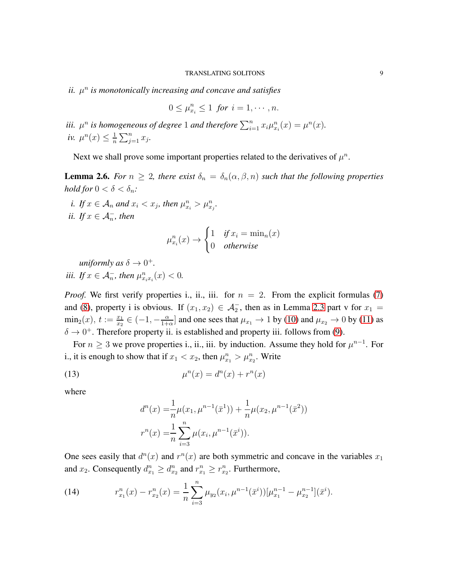$ii. \mu<sup>n</sup>$  is monotonically increasing and concave and satisfies

$$
0 \leq \mu_{x_i}^n \leq 1 \text{ for } i = 1, \cdots, n.
$$

*iii.*  $\mu^n$  *is homogeneous of degree* 1 *and therefore*  $\sum_{i=1}^n x_i \mu_{x_i}^n(x) = \mu^n(x)$ *. iv.*  $\mu^n(x) \leq \frac{1}{n}$  $\frac{1}{n} \sum_{j=1}^n x_j$ .

Next we shall prove some important properties related to the derivatives of  $\mu^n$ .

<span id="page-8-2"></span>**Lemma 2.6.** *For*  $n \geq 2$ *, there exist*  $\delta_n = \delta_n(\alpha, \beta, n)$  *such that the following properties hold for*  $0 < \delta < \delta_n$ *:* 

*i.* If  $x \in A_n$  and  $x_i < x_j$ , then  $\mu_{x_i}^n > \mu_{x_j}^n$ . *ii.* If  $x \in \mathcal{A}_n^-$ , then

$$
\mu_{x_i}^n(x) \to \begin{cases} 1 & \text{if } x_i = \min_n(x) \\ 0 & \text{otherwise} \end{cases}
$$

*uniformly as*  $\delta \to 0^+$ .

*iii.* If  $x \in A_n^-$ , then  $\mu_{x_ix_i}^n(x) < 0$ .

*Proof.* We first verify properties i., ii., iii. for  $n = 2$ . From the explicit formulas [\(7\)](#page-5-0) and [\(8\)](#page-5-1), property i is obvious. If  $(x_1, x_2) \in \mathcal{A}_2^-$ , then as in Lemma [2.3](#page-4-2) part v for  $x_1 =$  $\min_2(x), t := \frac{x_1}{x_2} \in (-1, -\frac{\alpha}{1+1})$  $\frac{\alpha}{1+\alpha}$  and one sees that  $\mu_{x_1} \to 1$  by [\(10\)](#page-5-2) and  $\mu_{x_2} \to 0$  by [\(11\)](#page-5-3) as  $\delta \rightarrow 0^+$ . Therefore property ii. is established and property iii. follows from [\(9\)](#page-5-4).

For  $n \geq 3$  we prove properties i., ii., iii. by induction. Assume they hold for  $\mu^{n-1}$ . For i., it is enough to show that if  $x_1 < x_2$ , then  $\mu_{x_1}^n > \mu_{x_2}^n$ . Write

<span id="page-8-0"></span>
$$
\mu^n(x) = d^n(x) + r^n(x)
$$

where

$$
d^{n}(x) = \frac{1}{n}\mu(x_{1}, \mu^{n-1}(\bar{x}^{1})) + \frac{1}{n}\mu(x_{2}, \mu^{n-1}(\bar{x}^{2}))
$$

$$
r^{n}(x) = \frac{1}{n}\sum_{i=3}^{n}\mu(x_{i}, \mu^{n-1}(\bar{x}^{i})).
$$

One sees easily that  $d^n(x)$  and  $r^n(x)$  are both symmetric and concave in the variables  $x_1$ and  $x_2$ . Consequently  $d_{x_1}^n \geq d_{x_2}^n$  and  $r_{x_1}^n \geq r_{x_2}^n$ . Furthermore,

<span id="page-8-1"></span>(14) 
$$
r_{x_1}^n(x) - r_{x_2}^n(x) = \frac{1}{n} \sum_{i=3}^n \mu_{y_2}(x_i, \mu^{n-1}(\bar{x}^i)) [\mu_{x_1}^{n-1} - \mu_{x_2}^{n-1}](\bar{x}^i).
$$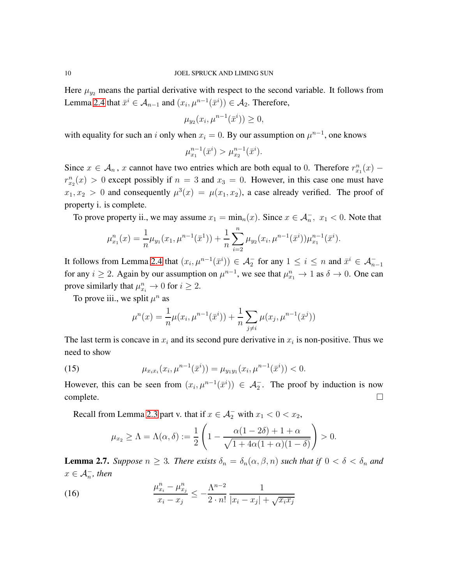Here  $\mu_{y_2}$  means the partial derivative with respect to the second variable. It follows from Lemma [2.4](#page-6-0) that  $\bar{x}^i \in A_{n-1}$  and  $(x_i, \mu^{n-1}(\bar{x}^i)) \in A_2$ . Therefore,

$$
\mu_{y_2}(x_i, \mu^{n-1}(\bar{x}^i)) \ge 0,
$$

with equality for such an i only when  $x_i = 0$ . By our assumption on  $\mu^{n-1}$ , one knows

$$
\mu_{x_1}^{n-1}(\bar{x}^i) > \mu_{x_2}^{n-1}(\bar{x}^i).
$$

Since  $x \in A_n$ , x cannot have two entries which are both equal to 0. Therefore  $r_{x_1}^n(x)$  –  $r_{x_2}^n(x) > 0$  except possibly if  $n = 3$  and  $x_3 = 0$ . However, in this case one must have  $x_1, x_2 > 0$  and consequently  $\mu^3(x) = \mu(x_1, x_2)$ , a case already verified. The proof of property i. is complete.

To prove property ii., we may assume  $x_1 = \min_n(x)$ . Since  $x \in \mathcal{A}_n^-$ ,  $x_1 < 0$ . Note that

$$
\mu_{x_1}^n(x) = \frac{1}{n} \mu_{y_1}(x_1, \mu^{n-1}(\bar{x}^1)) + \frac{1}{n} \sum_{i=2}^n \mu_{y_2}(x_i, \mu^{n-1}(\bar{x}^i)) \mu_{x_1}^{n-1}(\bar{x}^i).
$$

It follows from Lemma [2.4](#page-6-0) that  $(x_i, \mu^{n-1}(\bar{x}^i)) \in A_2^-$  for any  $1 \le i \le n$  and  $\bar{x}^i \in A_{n-1}^$ for any  $i \ge 2$ . Again by our assumption on  $\mu^{n-1}$ , we see that  $\mu_{x_1}^n \to 1$  as  $\delta \to 0$ . One can prove similarly that  $\mu_{x_i}^n \to 0$  for  $i \geq 2$ .

To prove iii., we split  $\mu^n$  as

$$
\mu^{n}(x) = \frac{1}{n}\mu(x_{i}, \mu^{n-1}(\bar{x}^{i})) + \frac{1}{n}\sum_{j\neq i}\mu(x_{j}, \mu^{n-1}(\bar{x}^{j}))
$$

The last term is concave in  $x_i$  and its second pure derivative in  $x_i$  is non-positive. Thus we need to show

(15) 
$$
\mu_{x_ix_i}(x_i,\mu^{n-1}(\bar{x}^i)) = \mu_{y_1y_1}(x_i,\mu^{n-1}(\bar{x}^i)) < 0.
$$

However, this can be seen from  $(x_i, \mu^{n-1}(\bar{x}^i)) \in A_2^-$ . The proof by induction is now  $\Box$ complete.

Recall from Lemma [2.3](#page-4-2) part v. that if  $x \in \mathcal{A}_2^-$  with  $x_1 < 0 < x_2$ ,

$$
\mu_{x_2} \ge \Lambda = \Lambda(\alpha, \delta) := \frac{1}{2} \left( 1 - \frac{\alpha(1 - 2\delta) + 1 + \alpha}{\sqrt{1 + 4\alpha(1 + \alpha)(1 - \delta)}} \right) > 0.
$$

<span id="page-9-0"></span>**Lemma 2.7.** *Suppose*  $n \geq 3$ *. There exists*  $\delta_n = \delta_n(\alpha, \beta, n)$  *such that if*  $0 < \delta < \delta_n$  *and*  $x \in \mathcal{A}_n^-$ , then

(16) 
$$
\frac{\mu_{x_i}^n - \mu_{x_j}^n}{x_i - x_j} \leq -\frac{\Lambda^{n-2}}{2 \cdot n!} \frac{1}{|x_i - x_j| + \sqrt{x_i x_j}}
$$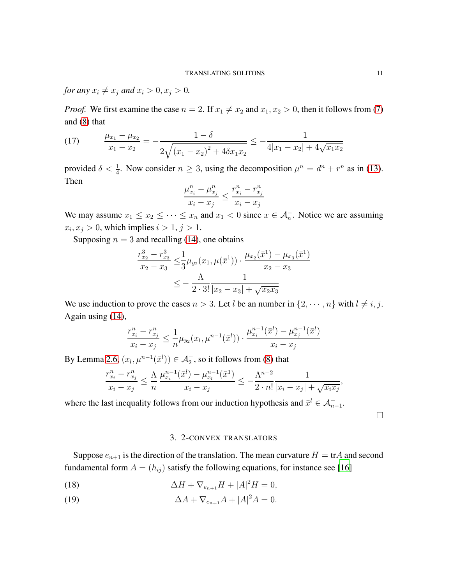*for any*  $x_i \neq x_j$  *and*  $x_i > 0, x_j > 0$ *.* 

*Proof.* We first examine the case  $n = 2$ . If  $x_1 \neq x_2$  and  $x_1, x_2 > 0$ , then it follows from [\(7\)](#page-5-0) and [\(8\)](#page-5-1) that

(17) 
$$
\frac{\mu_{x_1} - \mu_{x_2}}{x_1 - x_2} = -\frac{1 - \delta}{2\sqrt{(x_1 - x_2)^2 + 4\delta x_1 x_2}} \le -\frac{1}{4|x_1 - x_2| + 4\sqrt{x_1 x_2}}
$$

provided  $\delta < \frac{1}{4}$ . Now consider  $n \ge 3$ , using the decomposition  $\mu^n = d^n + r^n$  as in [\(13\)](#page-8-0). Then

$$
\frac{\mu_{x_i}^n - \mu_{x_j}^n}{x_i - x_j} \le \frac{r_{x_i}^n - r_{x_j}^n}{x_i - x_j}
$$

We may assume  $x_1 \le x_2 \le \cdots \le x_n$  and  $x_1 < 0$  since  $x \in \mathcal{A}_n^-$ . Notice we are assuming  $x_i, x_j > 0$ , which implies  $i > 1$ ,  $j > 1$ .

Supposing  $n = 3$  and recalling [\(14\)](#page-8-1), one obtains

$$
\frac{r_{x_2}^3 - r_{x_3}^3}{x_2 - x_3} \le \frac{1}{3} \mu_{y_2}(x_1, \mu(\bar{x}^1)) \cdot \frac{\mu_{x_2}(\bar{x}^1) - \mu_{x_3}(\bar{x}^1)}{x_2 - x_3}
$$
  

$$
\le -\frac{\Lambda}{2 \cdot 3!} \frac{1}{|x_2 - x_3| + \sqrt{x_2 x_3}}
$$

We use induction to prove the cases  $n > 3$ . Let l be an number in  $\{2, \dots, n\}$  with  $l \neq i, j$ . Again using [\(14\)](#page-8-1),

$$
\frac{r_{x_i}^n - r_{x_j}^n}{x_i - x_j} \le \frac{1}{n} \mu_{y_2}(x_l, \mu^{n-1}(\bar{x}^l)) \cdot \frac{\mu_{x_i}^{n-1}(\bar{x}^l) - \mu_{x_j}^{n-1}(\bar{x}^l)}{x_i - x_j}
$$

By Lemma [2.6,](#page-8-2)  $(x_l, \mu^{n-1}(\bar{x}^l)) \in \mathcal{A}_2^-$ , so it follows from [\(8\)](#page-5-1) that

$$
\frac{r_{x_i}^n - r_{x_j}^n}{x_i - x_j} \le \frac{\Lambda}{n} \frac{\mu_{x_i}^{n-1}(\bar{x}^l) - \mu_{x_l}^{n-1}(\bar{x}^1)}{x_i - x_j} \le -\frac{\Lambda^{n-2}}{2 \cdot n!} \frac{1}{|x_i - x_j| + \sqrt{x_i x_j}},
$$

<span id="page-10-0"></span>where the last inequality follows from our induction hypothesis and  $\bar{x}^l \in A_{n-1}^-$ .

 $\Box$ 

### 3. 2-CONVEX TRANSLATORS

Suppose  $e_{n+1}$  is the direction of the translation. The mean curvature  $H = \text{tr}A$  and second fundamental form  $A = (h_{ij})$  satisfy the following equations, for instance see [\[16](#page-17-12)]

- <span id="page-10-2"></span>(18)  $\Delta H + \nabla_{e_{n+1}} H + |A|^2 H = 0,$
- <span id="page-10-1"></span>(19)  $\Delta A + \nabla_{e_{n+1}} A + |A|^2 A = 0.$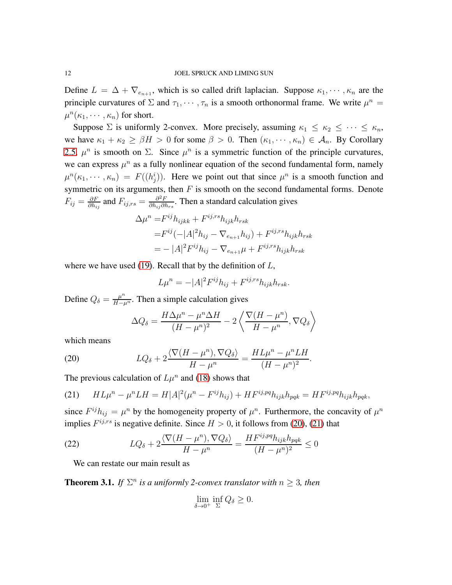Define  $L = \Delta + \nabla_{e_{n+1}}$ , which is so called drift laplacian. Suppose  $\kappa_1, \dots, \kappa_n$  are the principle curvatures of  $\Sigma$  and  $\tau_1, \dots, \tau_n$  is a smooth orthonormal frame. We write  $\mu^n =$  $\mu^n(\kappa_1, \cdots, \kappa_n)$  for short.

Suppose  $\Sigma$  is uniformly 2-convex. More precisely, assuming  $\kappa_1 \leq \kappa_2 \leq \cdots \leq \kappa_n$ , we have  $\kappa_1 + \kappa_2 \geq \beta H > 0$  for some  $\beta > 0$ . Then  $(\kappa_1, \dots, \kappa_n) \in A_n$ . By Corollary [2.5,](#page-7-0)  $\mu^n$  is smooth on  $\Sigma$ . Since  $\mu^n$  is a symmetric function of the principle curvatures, we can express  $\mu^n$  as a fully nonlinear equation of the second fundamental form, namely  $\mu^{n}(\kappa_1, \dots, \kappa_n) = F((h_j^i))$ . Here we point out that since  $\mu^n$  is a smooth function and symmetric on its arguments, then  $F$  is smooth on the second fundamental forms. Denote  $F_{ij} = \frac{\partial F}{\partial h_i}$  $\frac{\partial F}{\partial h_{ij}}$  and  $F_{ij,rs} = \frac{\partial^2 F}{\partial h_{ij} \partial l}$  $\frac{\partial^2 F}{\partial h_{ij}\partial h_{rs}}$ . Then a standard calculation gives

$$
\Delta \mu^{n} = F^{ij} h_{ijkk} + F^{ij,rs} h_{ijk} h_{rsk}
$$
  
=  $F^{ij}(-|A|^{2} h_{ij} - \nabla_{e_{n+1}} h_{ij}) + F^{ij,rs} h_{ijk} h_{rsk}$   
=  $- |A|^{2} F^{ij} h_{ij} - \nabla_{e_{n+1}} \mu + F^{ij,rs} h_{ijk} h_{rsk}$ 

where we have used [\(19\)](#page-10-1). Recall that by the definition of  $L$ ,

$$
L\mu^n = -|A|^2 F^{ij} h_{ij} + F^{ij,rs} h_{ijk} h_{rsk}.
$$

Define  $Q_{\delta} = \frac{\mu^n}{H - \mu^n}$ . Then a simple calculation gives

$$
\Delta Q_{\delta} = \frac{H\Delta\mu^{n} - \mu^{n}\Delta H}{(H - \mu^{n})^{2}} - 2\left\langle \frac{\nabla(H - \mu^{n})}{H - \mu^{n}}, \nabla Q_{\delta} \right\rangle
$$

which means

<span id="page-11-0"></span>(20) 
$$
LQ_{\delta} + 2\frac{\langle \nabla (H - \mu^n), \nabla Q_{\delta} \rangle}{H - \mu^n} = \frac{HL\mu^n - \mu^n LH}{(H - \mu^n)^2}.
$$

The previous calculation of  $L\mu^n$  and [\(18\)](#page-10-2) shows that

<span id="page-11-1"></span>(21) 
$$
HL\mu^{n} - \mu^{n}LH = H|A|^{2}(\mu^{n} - F^{ij}h_{ij}) + HF^{ij,pq}h_{ijk}h_{pqk} = HF^{ij,pq}h_{ijk}h_{pqk},
$$

since  $F^{ij}h_{ij} = \mu^n$  by the homogeneity property of  $\mu^n$ . Furthermore, the concavity of  $\mu^n$ implies  $F^{ij,rs}$  is negative definite. Since  $H > 0$ , it follows from [\(20\)](#page-11-0), [\(21\)](#page-11-1) that

<span id="page-11-2"></span>(22) 
$$
LQ_{\delta} + 2\frac{\langle \nabla (H - \mu^n), \nabla Q_{\delta} \rangle}{H - \mu^n} = \frac{HF^{ij, pq}h_{ijk}h_{pqk}}{(H - \mu^n)^2} \leq 0
$$

We can restate our main result as

<span id="page-11-3"></span>**Theorem 3.1.** *If*  $\Sigma^n$  *is a uniformly 2-convex translator with*  $n \geq 3$ *, then* 

$$
\lim_{\delta \to 0^+} \inf_{\Sigma} Q_{\delta} \ge 0.
$$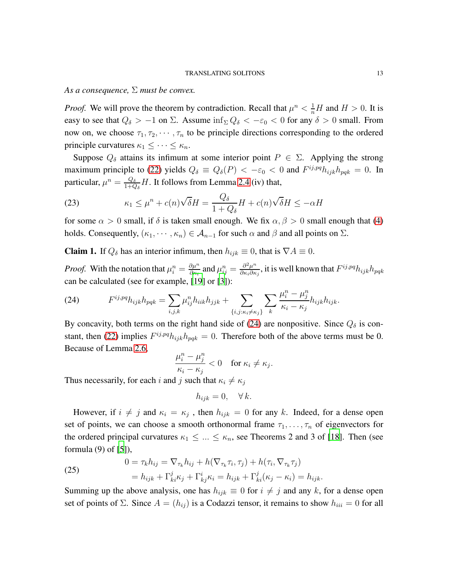*As a consequence,* Σ *must be convex.*

*Proof.* We will prove the theorem by contradiction. Recall that  $\mu^n < \frac{1}{n}H$  and  $H > 0$ . It is easy to see that  $Q_\delta > -1$  on  $\Sigma$ . Assume  $\inf_{\Sigma} Q_\delta < -\epsilon_0 < 0$  for any  $\delta > 0$  small. From now on, we choose  $\tau_1, \tau_2, \cdots, \tau_n$  to be principle directions corresponding to the ordered principle curvatures  $\kappa_1 \leq \cdots \leq \kappa_n$ .

Suppose  $Q_{\delta}$  attains its infimum at some interior point  $P \in \Sigma$ . Applying the strong maximum principle to [\(22\)](#page-11-2) yields  $Q_{\delta} \equiv Q_{\delta}(P) < -\epsilon_0 < 0$  and  $F^{ij, pq} h_{ijk} h_{pqk} = 0$ . In particular,  $\mu^n = \frac{Q_\delta}{1+C}$  $\frac{Q_{\delta}}{1+Q_{\delta}}H$ . It follows from Lemma [2.4](#page-6-0) (iv) that,

<span id="page-12-3"></span>(23) 
$$
\kappa_1 \leq \mu^n + c(n)\sqrt{\delta}H = \frac{Q_{\delta}}{1 + Q_{\delta}}H + c(n)\sqrt{\delta}H \leq -\alpha H
$$

for some  $\alpha > 0$  small, if  $\delta$  is taken small enough. We fix  $\alpha, \beta > 0$  small enough that [\(4\)](#page-3-0) holds. Consequently,  $(\kappa_1, \dots, \kappa_n) \in \mathcal{A}_{n-1}$  for such  $\alpha$  and  $\beta$  and all points on  $\Sigma$ .

<span id="page-12-1"></span>**Claim 1.** If  $Q_\delta$  has an interior infimum, then  $h_{ijk} \equiv 0$ , that is  $\nabla A \equiv 0$ .

*Proof.* With the notation that  $\mu_i^n = \frac{\partial \mu^n}{\partial \kappa_i}$  $\frac{\partial \mu^n}{\partial \kappa_i}$  and  $\mu^n_{ij} = \frac{\partial^2 \mu^n}{\partial \kappa_i \partial \kappa}$  $\frac{\partial^2 \mu^n}{\partial \kappa_i \partial \kappa_j}$ , it is well known that  $F^{ij,pq} h_{ijk} h_{pqk}$ can be calculated (see for example, [\[19](#page-17-13)] or [\[3](#page-16-4)]):

<span id="page-12-0"></span>(24) 
$$
F^{ij,pq}h_{ijk}h_{pqk} = \sum_{i,j,k} \mu_{ij}^{n}h_{iik}h_{jjk} + \sum_{\{i,j:k_i \neq \kappa_j\}} \sum_{k} \frac{\mu_i^{n} - \mu_j^{n}}{\kappa_i - \kappa_j} h_{ijk}h_{ijk}.
$$

By concavity, both terms on the right hand side of [\(24\)](#page-12-0) are nonpositive. Since  $Q_{\delta}$  is con-stant, then [\(22\)](#page-11-2) implies  $F^{ij,pq}h_{ijk}h_{pqk} = 0$ . Therefore both of the above terms must be 0. Because of Lemma [2.6,](#page-8-2)

$$
\frac{\mu_i^n - \mu_j^n}{\kappa_i - \kappa_j} < 0 \quad \text{for } \kappa_i \neq \kappa_j.
$$

Thus necessarily, for each i and j such that  $\kappa_i \neq \kappa_j$ 

$$
h_{ijk} = 0, \quad \forall k.
$$

However, if  $i \neq j$  and  $\kappa_i = \kappa_j$ , then  $h_{ijk} = 0$  for any k. Indeed, for a dense open set of points, we can choose a smooth orthonormal frame  $\tau_1, \ldots, \tau_n$  of eigenvectors for the ordered principal curvatures  $\kappa_1 \leq ... \leq \kappa_n$ , see Theorems 2 and 3 of [\[18\]](#page-17-14). Then (see formula (9) of [\[5](#page-16-1)]),

<span id="page-12-2"></span>(25) 
$$
0 = \tau_k h_{ij} = \nabla_{\tau_k} h_{ij} + h(\nabla_{\tau_k} \tau_i, \tau_j) + h(\tau_i, \nabla_{\tau_k} \tau_j)
$$

$$
= h_{ijk} + \Gamma^j_{ki} \kappa_j + \Gamma^i_{kj} \kappa_i = h_{ijk} + \Gamma^j_{ki} (\kappa_j - \kappa_i) = h_{ijk}.
$$

Summing up the above analysis, one has  $h_{ijk} \equiv 0$  for  $i \neq j$  and any k, for a dense open set of points of  $\Sigma$ . Since  $A = (h_{ij})$  is a Codazzi tensor, it remains to show  $h_{iii} = 0$  for all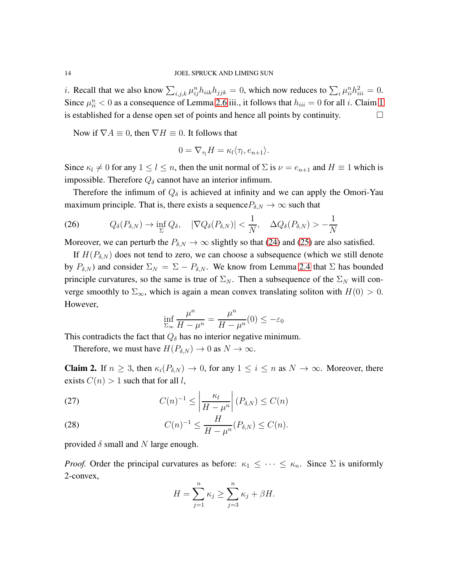*i*. Recall that we also know  $\sum_{i,j,k} \mu_{ij}^n h_{iik} h_{jjk} = 0$ , which now reduces to  $\sum_i \mu_{ii}^n h_{iii}^2 = 0$ . Since  $\mu_{ii}^n < 0$  as a consequence of Lemma [2.6](#page-8-2) iii., it follows that  $h_{iii} = 0$  for all *i*. Claim [1](#page-12-1) is established for a dense open set of points and hence all points by continuity.

Now if  $\nabla A \equiv 0$ , then  $\nabla H \equiv 0$ . It follows that

$$
0 = \nabla_{\tau_l} H = \kappa_l \langle \tau_l, e_{n+1} \rangle.
$$

Since  $\kappa_l \neq 0$  for any  $1 \leq l \leq n$ , then the unit normal of  $\Sigma$  is  $\nu = e_{n+1}$  and  $H \equiv 1$  which is impossible. Therefore  $Q_{\delta}$  cannot have an interior infimum.

Therefore the infimum of  $Q_{\delta}$  is achieved at infinity and we can apply the Omori-Yau maximum principle. That is, there exists a sequence  $P_{\delta,N} \to \infty$  such that

<span id="page-13-1"></span>(26) 
$$
Q_{\delta}(P_{\delta,N}) \to \inf_{\Sigma} Q_{\delta}, \quad |\nabla Q_{\delta}(P_{\delta,N})| < \frac{1}{N}, \quad \Delta Q_{\delta}(P_{\delta,N}) > -\frac{1}{N}
$$

Moreover, we can perturb the  $P_{\delta,N} \to \infty$  slightly so that [\(24\)](#page-12-0) and [\(25\)](#page-12-2) are also satisfied.

If  $H(P_{\delta,N})$  does not tend to zero, we can choose a subsequence (which we still denote by  $P_{\delta,N}$ ) and consider  $\Sigma_N = \Sigma - P_{\delta,N}$ . We know from Lemma [2.4](#page-6-0) that  $\Sigma$  has bounded principle curvatures, so the same is true of  $\Sigma_N$ . Then a subsequence of the  $\Sigma_N$  will converge smoothly to  $\Sigma_{\infty}$ , which is again a mean convex translating soliton with  $H(0) > 0$ . However,

$$
\inf_{\Sigma_{\infty}} \frac{\mu^n}{H - \mu^n} = \frac{\mu^n}{H - \mu^n}(0) \le -\varepsilon_0
$$

This contradicts the fact that  $Q_{\delta}$  has no interior negative minimum.

Therefore, we must have  $H(P_{\delta,N}) \to 0$  as  $N \to \infty$ .

<span id="page-13-0"></span>**Claim 2.** If  $n \geq 3$ , then  $\kappa_i(P_{\delta,N}) \to 0$ , for any  $1 \leq i \leq n$  as  $N \to \infty$ . Moreover, there exists  $C(n) > 1$  such that for all l,

<span id="page-13-2"></span>(27) 
$$
C(n)^{-1} \leq \left| \frac{\kappa_l}{H - \mu^n} \right| (P_{\delta, N}) \leq C(n)
$$

(28) 
$$
C(n)^{-1} \leq \frac{H}{H - \mu^n}(P_{\delta, N}) \leq C(n).
$$

provided  $\delta$  small and N large enough.

*Proof.* Order the principal curvatures as before:  $\kappa_1 \leq \cdots \leq \kappa_n$ . Since  $\Sigma$  is uniformly 2-convex,

$$
H = \sum_{j=1}^{n} \kappa_j \ge \sum_{j=3}^{n} \kappa_j + \beta H.
$$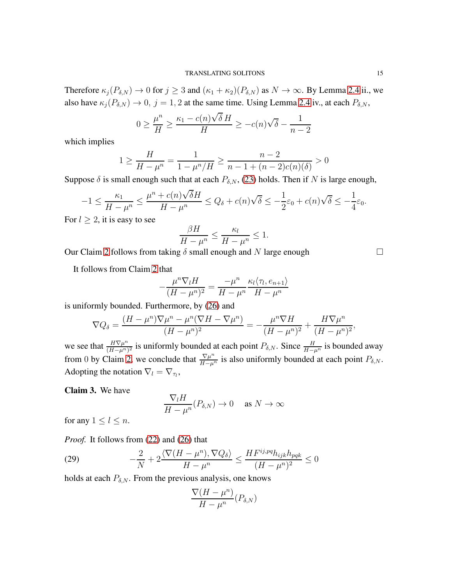Therefore  $\kappa_j(P_{\delta,N}) \to 0$  for  $j \geq 3$  and  $(\kappa_1 + \kappa_2)(P_{\delta,N})$  as  $N \to \infty$ . By Lemma [2.4](#page-6-0) ii., we also have  $\kappa_j(P_{\delta,N}) \to 0$ ,  $j = 1, 2$  at the same time. Using Lemma [2.4](#page-6-0) iv., at each  $P_{\delta,N}$ ,

$$
0 \ge \frac{\mu^n}{H} \ge \frac{\kappa_1 - c(n)\sqrt{\delta} H}{H} \ge -c(n)\sqrt{\delta} - \frac{1}{n-2}
$$

which implies

$$
1 \ge \frac{H}{H - \mu^n} = \frac{1}{1 - \mu^n / H} \ge \frac{n - 2}{n - 1 + (n - 2)c(n)(\delta)} > 0
$$

Suppose  $\delta$  is small enough such that at each  $P_{\delta,N}$ , [\(23\)](#page-12-3) holds. Then if N is large enough,

$$
-1 \le \frac{\kappa_1}{H - \mu^n} \le \frac{\mu^n + c(n)\sqrt{\delta}H}{H - \mu^n} \le Q_\delta + c(n)\sqrt{\delta} \le -\frac{1}{2}\varepsilon_0 + c(n)\sqrt{\delta} \le -\frac{1}{4}\varepsilon_0.
$$

For  $l \geq 2$ , it is easy to see

$$
\frac{\beta H}{H - \mu^n} \le \frac{\kappa_l}{H - \mu^n} \le 1.
$$

Our Claim [2](#page-13-0) follows from taking  $\delta$  small enough and N large enough

It follows from Claim [2](#page-13-0) that

$$
-\frac{\mu^n \nabla_l H}{(H - \mu^n)^2} = \frac{-\mu^n}{H - \mu^n} \frac{\kappa_l \langle \tau_l, e_{n+1} \rangle}{H - \mu^n}
$$

is uniformly bounded. Furthermore, by [\(26\)](#page-13-1) and

$$
\nabla Q_{\delta} = \frac{(H - \mu^n)\nabla\mu^n - \mu^n(\nabla H - \nabla\mu^n)}{(H - \mu^n)^2} = -\frac{\mu^n\nabla H}{(H - \mu^n)^2} + \frac{H\nabla\mu^n}{(H - \mu^n)^2},
$$

we see that  $\frac{H\nabla\mu^n}{(H-\mu^n)}$  $\frac{H\nabla\mu^n}{(H-\mu^n)^2}$  is uniformly bounded at each point  $P_{\delta,N}$ . Since  $\frac{H}{H-\mu^n}$  is bounded away from 0 by Claim [2,](#page-13-0) we conclude that  $\frac{\nabla \mu^n}{H-\mu^n}$  is also uniformly bounded at each point  $P_{\delta,N}$ . Adopting the notation  $\nabla_l = \nabla_{\tau_l}$ ,

<span id="page-14-1"></span>Claim 3. We have

$$
\frac{\nabla_l H}{H - \mu^n} (P_{\delta, N}) \to 0 \quad \text{ as } N \to \infty
$$

for any  $1 \leq l \leq n$ .

*Proof.* It follows from [\(22\)](#page-11-2) and [\(26\)](#page-13-1) that

<span id="page-14-0"></span>(29) 
$$
-\frac{2}{N} + 2\frac{\langle \nabla (H - \mu^n), \nabla Q_\delta \rangle}{H - \mu^n} \le \frac{HF^{ij, pq} h_{ijk} h_{pqk}}{(H - \mu^n)^2} \le 0
$$

holds at each  $P_{\delta,N}$ . From the previous analysis, one knows

$$
\frac{\nabla (H - \mu^n)}{H - \mu^n} (P_{\delta, N})
$$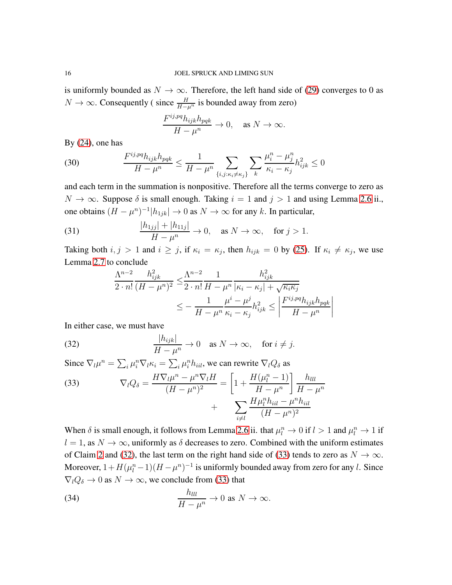is uniformly bounded as  $N \to \infty$ . Therefore, the left hand side of [\(29\)](#page-14-0) converges to 0 as  $N \to \infty$ . Consequently (since  $\frac{H}{H-\mu^n}$  is bounded away from zero)

$$
\frac{F^{ij,pq}h_{ijk}h_{pqk}}{H-\mu^n} \to 0, \quad \text{as } N \to \infty.
$$

By [\(24\)](#page-12-0), one has

(30) 
$$
\frac{F^{ij, pq} h_{ijk} h_{pqk}}{H - \mu^n} \leq \frac{1}{H - \mu^n} \sum_{\{i, j: \kappa_i \neq \kappa_j\}} \sum_k \frac{\mu_i^n - \mu_j^n}{\kappa_i - \kappa_j} h_{ijk}^2 \leq 0
$$

and each term in the summation is nonpositive. Therefore all the terms converge to zero as  $N \to \infty$ . Suppose  $\delta$  is small enough. Taking  $i = 1$  and  $j > 1$  and using Lemma [2.6](#page-8-2) ii., one obtains  $(H - \mu^n)^{-1} |h_{1jk}| \to 0$  as  $N \to \infty$  for any k. In particular,

(31) 
$$
\frac{|h_{1jj}| + |h_{11j}|}{H - \mu^n} \to 0, \text{ as } N \to \infty, \text{ for } j > 1.
$$

Taking both  $i, j > 1$  and  $i \ge j$ , if  $\kappa_i = \kappa_j$ , then  $h_{ijk} = 0$  by [\(25\)](#page-12-2). If  $\kappa_i \ne \kappa_j$ , we use Lemma [2.7](#page-9-0) to conclude

$$
\frac{\Lambda^{n-2}}{2 \cdot n!} \frac{h_{ijk}^2}{(H - \mu^n)^2} \le \frac{\Lambda^{n-2}}{2 \cdot n!} \frac{1}{H - \mu^n} \frac{h_{ijk}^2}{|\kappa_i - \kappa_j| + \sqrt{\kappa_i \kappa_j}}\n\n\le -\frac{1}{H - \mu^n} \frac{\mu^i - \mu^j}{\kappa_i - \kappa_j} h_{ijk}^2 \le \left| \frac{F^{ij, pq} h_{ijk} h_{pqk}}{H - \mu^n} \right|
$$

In either case, we must have

(32) 
$$
\frac{|h_{ijk}|}{H - \mu^n} \to 0 \quad \text{as } N \to \infty, \quad \text{for } i \neq j.
$$

Since  $\nabla_l \mu^n = \sum_i \mu_i^n \nabla_l \kappa_i = \sum_i \mu_i^n h_{iil}$ , we can rewrite  $\nabla_l Q_\delta$  as

<span id="page-15-1"></span><span id="page-15-0"></span>(33) 
$$
\nabla_{l}Q_{\delta} = \frac{H\nabla_{l}\mu^{n} - \mu^{n}\nabla_{l}H}{(H - \mu^{n})^{2}} = \left[1 + \frac{H(\mu_{l}^{n} - 1)}{H - \mu^{n}}\right] \frac{h_{lll}}{H - \mu^{n}} + \sum_{i \neq l} \frac{H\mu_{l}^{n}h_{iil} - \mu^{n}h_{iil}}{(H - \mu^{n})^{2}}
$$

When  $\delta$  is small enough, it follows from Lemma [2.6](#page-8-2) ii. that  $\mu_l^n \to 0$  if  $l > 1$  and  $\mu_l^n \to 1$  if  $l = 1$ , as  $N \to \infty$ , uniformly as  $\delta$  decreases to zero. Combined with the uniform estimates of Claim [2](#page-13-0) and [\(32\)](#page-15-0), the last term on the right hand side of [\(33\)](#page-15-1) tends to zero as  $N \to \infty$ . Moreover,  $1 + H(\mu_l^n - 1)(H - \mu^n)^{-1}$  is uniformly bounded away from zero for any *l*. Since  $\nabla_lQ_\delta \to 0$  as  $N \to \infty$ , we conclude from [\(33\)](#page-15-1) that

<span id="page-15-2"></span>(34) 
$$
\frac{h_{lll}}{H-\mu^n}\to 0 \text{ as } N\to\infty.
$$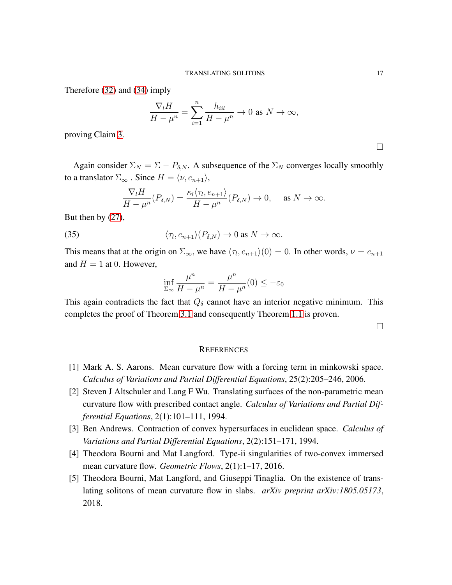Therefore [\(32\)](#page-15-0) and [\(34\)](#page-15-2) imply

$$
\frac{\nabla_l H}{H-\mu^n} = \sum_{i=1}^n \frac{h_{iil}}{H-\mu^n} \to 0 \text{ as } N \to \infty,
$$

proving Claim [3.](#page-14-1)

Again consider  $\Sigma_N = \Sigma - P_{\delta,N}$ . A subsequence of the  $\Sigma_N$  converges locally smoothly to a translator  $\Sigma_{\infty}$ . Since  $H = \langle \nu, e_{n+1} \rangle$ ,

$$
\frac{\nabla_l H}{H - \mu^n}(P_{\delta, N}) = \frac{\kappa_l \langle \tau_l, e_{n+1} \rangle}{H - \mu^n}(P_{\delta, N}) \to 0, \quad \text{as } N \to \infty.
$$

But then by [\(27\)](#page-13-2),

(35) 
$$
\langle \tau_l, e_{n+1} \rangle (P_{\delta, N}) \to 0 \text{ as } N \to \infty.
$$

This means that at the origin on  $\Sigma_{\infty}$ , we have  $\langle \tau_l, e_{n+1} \rangle(0) = 0$ . In other words,  $\nu = e_{n+1}$ and  $H = 1$  at 0. However,

$$
\inf_{\Sigma_{\infty}} \frac{\mu^n}{H - \mu^n} = \frac{\mu^n}{H - \mu^n}(0) \le -\varepsilon_0
$$

This again contradicts the fact that  $Q_{\delta}$  cannot have an interior negative minimum. This completes the proof of Theorem [3.1](#page-11-3) and consequently Theorem [1.1](#page-1-0) is proven.

 $\Box$ 

## **REFERENCES**

- <span id="page-16-3"></span>[1] Mark A. S. Aarons. Mean curvature flow with a forcing term in minkowski space. *Calculus of Variations and Partial Differential Equations*, 25(2):205–246, 2006.
- <span id="page-16-0"></span>[2] Steven J Altschuler and Lang F Wu. Translating surfaces of the non-parametric mean curvature flow with prescribed contact angle. *Calculus of Variations and Partial Differential Equations*, 2(1):101–111, 1994.
- <span id="page-16-4"></span>[3] Ben Andrews. Contraction of convex hypersurfaces in euclidean space. *Calculus of Variations and Partial Differential Equations*, 2(2):151–171, 1994.
- <span id="page-16-2"></span>[4] Theodora Bourni and Mat Langford. Type-ii singularities of two-convex immersed mean curvature flow. *Geometric Flows*, 2(1):1–17, 2016.
- <span id="page-16-1"></span>[5] Theodora Bourni, Mat Langford, and Giuseppi Tinaglia. On the existence of translating solitons of mean curvature flow in slabs. *arXiv preprint arXiv:1805.05173*, 2018.

 $\Box$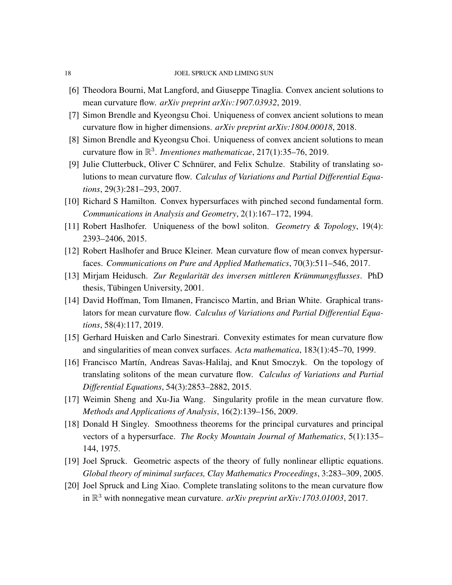- <span id="page-17-10"></span>[6] Theodora Bourni, Mat Langford, and Giuseppe Tinaglia. Convex ancient solutions to mean curvature flow. *arXiv preprint arXiv:1907.03932*, 2019.
- <span id="page-17-8"></span>[7] Simon Brendle and Kyeongsu Choi. Uniqueness of convex ancient solutions to mean curvature flow in higher dimensions. *arXiv preprint arXiv:1804.00018*, 2018.
- <span id="page-17-7"></span>[8] Simon Brendle and Kyeongsu Choi. Uniqueness of convex ancient solutions to mean curvature flow in R 3 . *Inventiones mathematicae*, 217(1):35–76, 2019.
- <span id="page-17-0"></span>[9] Julie Clutterbuck, Oliver C Schnürer, and Felix Schulze. Stability of translating solutions to mean curvature flow. *Calculus of Variations and Partial Differential Equations*, 29(3):281–293, 2007.
- <span id="page-17-9"></span>[10] Richard S Hamilton. Convex hypersurfaces with pinched second fundamental form. *Communications in Analysis and Geometry*, 2(1):167–172, 1994.
- <span id="page-17-3"></span>[11] Robert Haslhofer. Uniqueness of the bowl soliton. *Geometry & Topology*, 19(4): 2393–2406, 2015.
- <span id="page-17-6"></span>[12] Robert Haslhofer and Bruce Kleiner. Mean curvature flow of mean convex hypersurfaces. *Communications on Pure and Applied Mathematics*, 70(3):511–546, 2017.
- <span id="page-17-11"></span>[13] Mirjam Heidusch. Zur Regularität des inversen mittleren Krümmungsflusses. PhD thesis, Tübingen University, 2001.
- <span id="page-17-2"></span>[14] David Hoffman, Tom Ilmanen, Francisco Martin, and Brian White. Graphical translators for mean curvature flow. *Calculus of Variations and Partial Differential Equations*, 58(4):117, 2019.
- <span id="page-17-4"></span>[15] Gerhard Huisken and Carlo Sinestrari. Convexity estimates for mean curvature flow and singularities of mean convex surfaces. *Acta mathematica*, 183(1):45–70, 1999.
- <span id="page-17-12"></span>[16] Francisco Mart´ın, Andreas Savas-Halilaj, and Knut Smoczyk. On the topology of translating solitons of the mean curvature flow. *Calculus of Variations and Partial Differential Equations*, 54(3):2853–2882, 2015.
- <span id="page-17-5"></span>[17] Weimin Sheng and Xu-Jia Wang. Singularity profile in the mean curvature flow. *Methods and Applications of Analysis*, 16(2):139–156, 2009.
- <span id="page-17-14"></span>[18] Donald H Singley. Smoothness theorems for the principal curvatures and principal vectors of a hypersurface. *The Rocky Mountain Journal of Mathematics*, 5(1):135– 144, 1975.
- <span id="page-17-13"></span>[19] Joel Spruck. Geometric aspects of the theory of fully nonlinear elliptic equations. *Global theory of minimal surfaces, Clay Mathematics Proceedings*, 3:283–309, 2005.
- <span id="page-17-1"></span>[20] Joel Spruck and Ling Xiao. Complete translating solitons to the mean curvature flow in R <sup>3</sup> with nonnegative mean curvature. *arXiv preprint arXiv:1703.01003*, 2017.